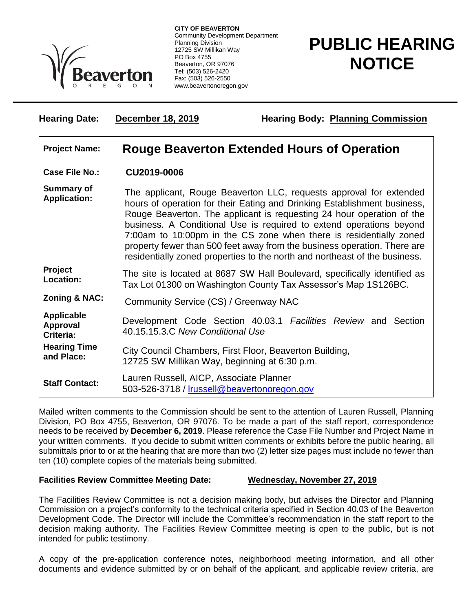

**CITY OF BEAVERTON** Community Development Department Planning Division 12725 SW Millikan Way PO Box 4755 Beaverton, OR 97076 Tel: (503) 526-2420 Fax: (503) 526-2550 www.beavertonoregon.gov

## **PUBLIC HEARING NOTICE**

| <b>Hearing Date:</b>                       | December 18, 2019                                                                                                                                                                                                                                                                                                                                                                                                                                                                                                              | <b>Hearing Body: Planning Commission</b>                       |
|--------------------------------------------|--------------------------------------------------------------------------------------------------------------------------------------------------------------------------------------------------------------------------------------------------------------------------------------------------------------------------------------------------------------------------------------------------------------------------------------------------------------------------------------------------------------------------------|----------------------------------------------------------------|
| <b>Project Name:</b>                       | <b>Rouge Beaverton Extended Hours of Operation</b>                                                                                                                                                                                                                                                                                                                                                                                                                                                                             |                                                                |
| <b>Case File No.:</b>                      | CU2019-0006                                                                                                                                                                                                                                                                                                                                                                                                                                                                                                                    |                                                                |
| <b>Summary of</b><br><b>Application:</b>   | The applicant, Rouge Beaverton LLC, requests approval for extended<br>hours of operation for their Eating and Drinking Establishment business,<br>Rouge Beaverton. The applicant is requesting 24 hour operation of the<br>business. A Conditional Use is required to extend operations beyond<br>7:00am to 10:00pm in the CS zone when there is residentially zoned<br>property fewer than 500 feet away from the business operation. There are<br>residentially zoned properties to the north and northeast of the business. |                                                                |
| Project<br>Location:                       | The site is located at 8687 SW Hall Boulevard, specifically identified as<br>Tax Lot 01300 on Washington County Tax Assessor's Map 1S126BC.                                                                                                                                                                                                                                                                                                                                                                                    |                                                                |
| <b>Zoning &amp; NAC:</b>                   | Community Service (CS) / Greenway NAC                                                                                                                                                                                                                                                                                                                                                                                                                                                                                          |                                                                |
| <b>Applicable</b><br>Approval<br>Criteria: | 40.15.15.3.C New Conditional Use                                                                                                                                                                                                                                                                                                                                                                                                                                                                                               | Development Code Section 40.03.1 Facilities Review and Section |
| <b>Hearing Time</b><br>and Place:          | 12725 SW Millikan Way, beginning at 6:30 p.m.                                                                                                                                                                                                                                                                                                                                                                                                                                                                                  | City Council Chambers, First Floor, Beaverton Building,        |
| <b>Staff Contact:</b>                      | Lauren Russell, AICP, Associate Planner<br>503-526-3718 / Irussell@beavertonoregon.gov                                                                                                                                                                                                                                                                                                                                                                                                                                         |                                                                |

Mailed written comments to the Commission should be sent to the attention of Lauren Russell, Planning Division, PO Box 4755, Beaverton, OR 97076. To be made a part of the staff report, correspondence needs to be received by **December 6, 2019**. Please reference the Case File Number and Project Name in your written comments. If you decide to submit written comments or exhibits before the public hearing, all submittals prior to or at the hearing that are more than two (2) letter size pages must include no fewer than ten (10) complete copies of the materials being submitted.

## **Facilities Review Committee Meeting Date: Wednesday, November 27, 2019**

The Facilities Review Committee is not a decision making body, but advises the Director and Planning Commission on a project's conformity to the technical criteria specified in Section 40.03 of the Beaverton Development Code. The Director will include the Committee's recommendation in the staff report to the decision making authority. The Facilities Review Committee meeting is open to the public, but is not intended for public testimony.

A copy of the pre-application conference notes, neighborhood meeting information, and all other documents and evidence submitted by or on behalf of the applicant, and applicable review criteria, are